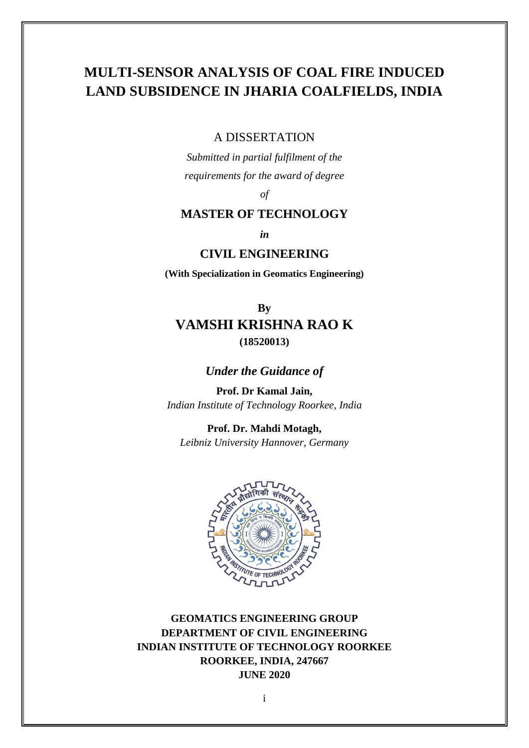# **MULTI-SENSOR ANALYSIS OF COAL FIRE INDUCED LAND SUBSIDENCE IN JHARIA COALFIELDS, INDIA**

#### A DISSERTATION

*Submitted in partial fulfilment of the requirements for the award of degree* 

*of*

## **MASTER OF TECHNOLOGY**

*in*

#### **CIVIL ENGINEERING**

**(With Specialization in Geomatics Engineering)**

# **By VAMSHI KRISHNA RAO K (18520013)**

## *Under the Guidance of*

**Prof. Dr Kamal Jain,** *Indian Institute of Technology Roorkee, India*

**Prof. Dr. Mahdi Motagh,**  *Leibniz University Hannover, Germany*



**GEOMATICS ENGINEERING GROUP DEPARTMENT OF CIVIL ENGINEERING INDIAN INSTITUTE OF TECHNOLOGY ROORKEE ROORKEE, INDIA, 247667 JUNE 2020**